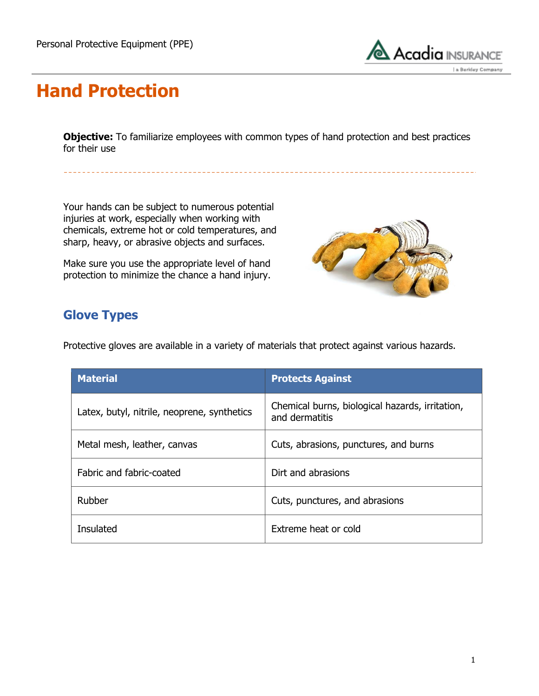

## **Hand Protection**

**Objective:** To familiarize employees with common types of hand protection and best practices for their use

Your hands can be subject to numerous potential injuries at work, especially when working with chemicals, extreme hot or cold temperatures, and sharp, heavy, or abrasive objects and surfaces.

Make sure you use the appropriate level of hand protection to minimize the chance a hand injury.



### **Glove Types**

Protective gloves are available in a variety of materials that protect against various hazards.

| <b>Material</b>                             | <b>Protects Against</b>                                           |  |
|---------------------------------------------|-------------------------------------------------------------------|--|
| Latex, butyl, nitrile, neoprene, synthetics | Chemical burns, biological hazards, irritation,<br>and dermatitis |  |
| Metal mesh, leather, canvas                 | Cuts, abrasions, punctures, and burns                             |  |
| Fabric and fabric-coated                    | Dirt and abrasions                                                |  |
| Rubber                                      | Cuts, punctures, and abrasions                                    |  |
| Insulated                                   | Extreme heat or cold                                              |  |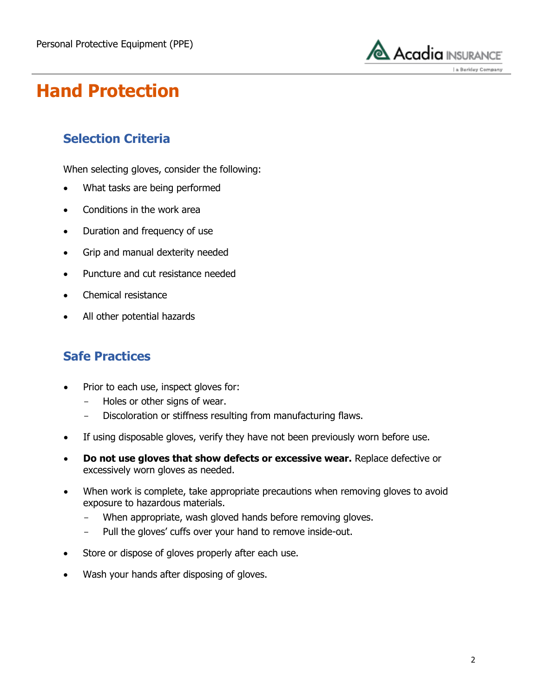

# **Hand Protection**

### **Selection Criteria**

When selecting gloves, consider the following:

- What tasks are being performed
- Conditions in the work area
- Duration and frequency of use
- Grip and manual dexterity needed
- Puncture and cut resistance needed
- Chemical resistance
- All other potential hazards

#### **Safe Practices**

- Prior to each use, inspect gloves for:
	- Holes or other signs of wear.
	- Discoloration or stiffness resulting from manufacturing flaws.
- If using disposable gloves, verify they have not been previously worn before use.
- **Do not use gloves that show defects or excessive wear.** Replace defective or excessively worn gloves as needed.
- When work is complete, take appropriate precautions when removing gloves to avoid exposure to hazardous materials.
	- When appropriate, wash gloved hands before removing gloves.
	- Pull the gloves' cuffs over your hand to remove inside-out.
- Store or dispose of gloves properly after each use.
- Wash your hands after disposing of gloves.